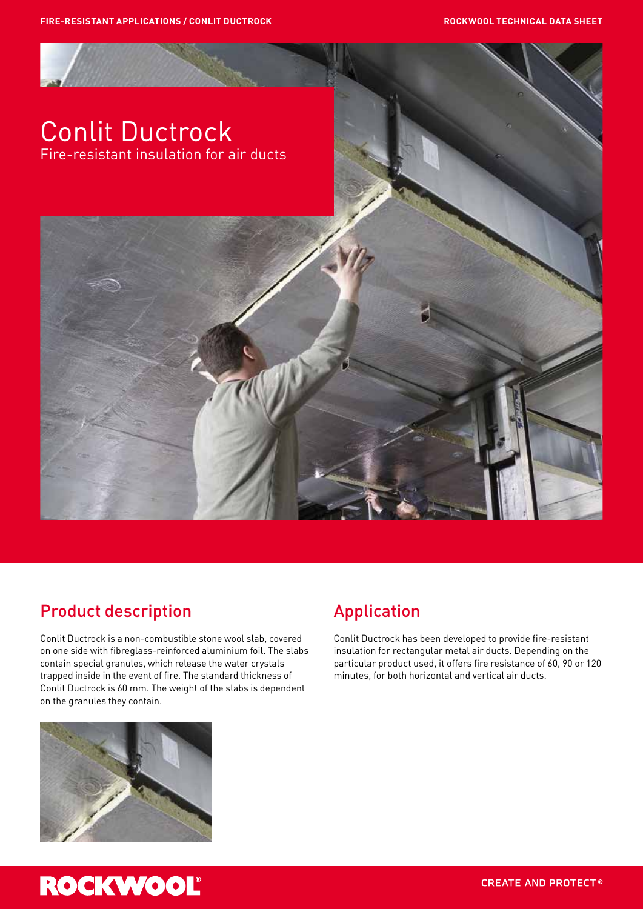

#### Product description

Conlit Ductrock is a non-combustible stone wool slab, covered on one side with fibreglass-reinforced aluminium foil. The slabs contain special granules, which release the water crystals trapped inside in the event of fire. The standard thickness of Conlit Ductrock is 60 mm. The weight of the slabs is dependent on the granules they contain.

## Application

Conlit Ductrock has been developed to provide fire-resistant insulation for rectangular metal air ducts. Depending on the particular product used, it offers fire resistance of 60, 90 or 120 minutes, for both horizontal and vertical air ducts.



# **ROCKWOOL**